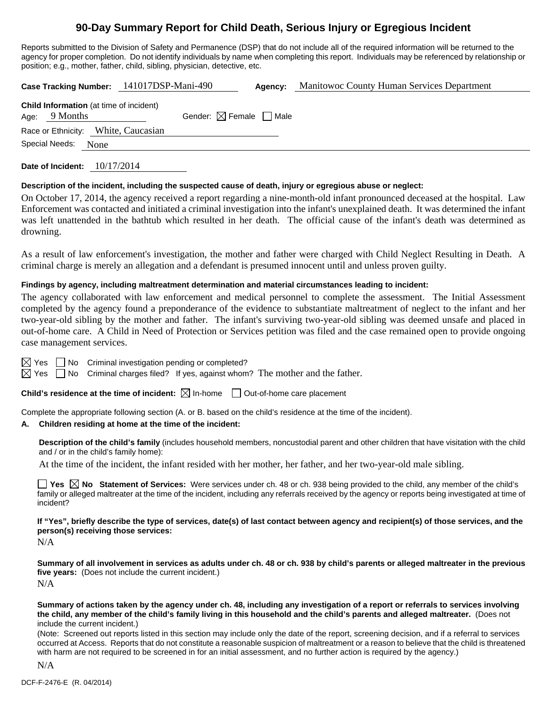# **90-Day Summary Report for Child Death, Serious Injury or Egregious Incident**

Reports submitted to the Division of Safety and Permanence (DSP) that do not include all of the required information will be returned to the agency for proper completion. Do not identify individuals by name when completing this report. Individuals may be referenced by relationship or position; e.g., mother, father, child, sibling, physician, detective, etc.

|  |                                                                   |      | Case Tracking Number: 141017DSP-Mani-490 |                                        | Agency: | Manitowoc County Human Services Department |
|--|-------------------------------------------------------------------|------|------------------------------------------|----------------------------------------|---------|--------------------------------------------|
|  | <b>Child Information</b> (at time of incident)<br>Age: $9$ Months |      |                                          | Gender: $\boxtimes$ Female $\Box$ Male |         |                                            |
|  | Special Needs:                                                    | None | Race or Ethnicity: White, Caucasian      |                                        |         |                                            |
|  |                                                                   |      |                                          |                                        |         |                                            |

**Date of Incident:** 10/17/2014

# **Description of the incident, including the suspected cause of death, injury or egregious abuse or neglect:**

On October 17, 2014, the agency received a report regarding a nine-month-old infant pronounced deceased at the hospital. Law Enforcement was contacted and initiated a criminal investigation into the infant's unexplained death. It was determined the infant was left unattended in the bathtub which resulted in her death. The official cause of the infant's death was determined as drowning.

As a result of law enforcement's investigation, the mother and father were charged with Child Neglect Resulting in Death. A criminal charge is merely an allegation and a defendant is presumed innocent until and unless proven guilty.

# **Findings by agency, including maltreatment determination and material circumstances leading to incident:**

The agency collaborated with law enforcement and medical personnel to complete the assessment. The Initial Assessment completed by the agency found a preponderance of the evidence to substantiate maltreatment of neglect to the infant and her two-year-old sibling by the mother and father. The infant's surviving two-year-old sibling was deemed unsafe and placed in out-of-home care. A Child in Need of Protection or Services petition was filed and the case remained open to provide ongoing case management services.

 $\boxtimes$  Yes  $\Box$  No Criminal investigation pending or completed?

 $\boxtimes$  Yes  $\Box$  No Criminal charges filed? If yes, against whom? The mother and the father.

**Child's residence at the time of incident:**  $\boxtimes$  In-home  $\Box$  Out-of-home care placement

Complete the appropriate following section (A. or B. based on the child's residence at the time of the incident).

# **A. Children residing at home at the time of the incident:**

**Description of the child's family** (includes household members, noncustodial parent and other children that have visitation with the child and / or in the child's family home):

At the time of the incident, the infant resided with her mother, her father, and her two-year-old male sibling.

**Yes**  $\boxtimes$  **No** Statement of Services: Were services under ch. 48 or ch. 938 being provided to the child, any member of the child's family or alleged maltreater at the time of the incident, including any referrals received by the agency or reports being investigated at time of incident?

**If "Yes", briefly describe the type of services, date(s) of last contact between agency and recipient(s) of those services, and the person(s) receiving those services:** 

N/A

**Summary of all involvement in services as adults under ch. 48 or ch. 938 by child's parents or alleged maltreater in the previous five years:** (Does not include the current incident.) N/A

**Summary of actions taken by the agency under ch. 48, including any investigation of a report or referrals to services involving the child, any member of the child's family living in this household and the child's parents and alleged maltreater.** (Does not include the current incident.)

(Note: Screened out reports listed in this section may include only the date of the report, screening decision, and if a referral to services occurred at Access. Reports that do not constitute a reasonable suspicion of maltreatment or a reason to believe that the child is threatened with harm are not required to be screened in for an initial assessment, and no further action is required by the agency.)

N/A